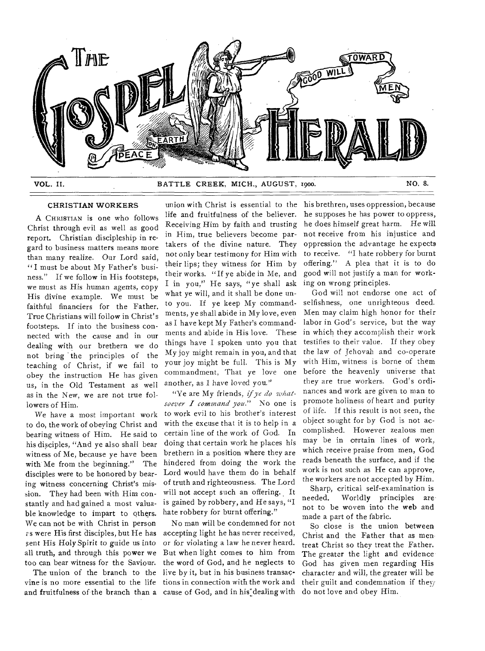

## CHRISTIAN WORKERS

A CHRISTIAN 15 one who follows Christ through evil as well as good report. Christian discipleship in regard to business matters means more than many realize. Our Lord said, "I must be about My Father's business." If we follow in His footsteps, we must as His human agents, copy His divine example. We must be faithful financiers for the Father. True Christians will follow in Christ's footsteps. If into the business connected with the cause and in our dealing with our brethern we do not bring the principles of the teaching of Christ, if we fail to obey the instruction He has given us, in the Old Testament as well as in the New, we are not true followers of Him.

We have a most important work to do, the work of obeying Christ and bearing witness of Him. He said to his disciples, "And ye also shall bear witness of Me, because ye have been with Me from the beginning." The disciples were to be honored by bearing witness concerning Christ's mission. They had been with Him constantly and had gained a most valuable knowledge to impart to others. We can not be with Christ in person os were His first disciples, but He has sent His Holy Spirit to guide us into all truth, and through this power we too can bear witness for the Saviour.

The union of the branch to the vine is no more essential to the life and fruitfulness of the branch than a

union with Christ is essential to the life and fruitfulness of the believer. Receiving Him by faith and trusting in Him, true believers become partakers of the divine nature. They not only bear testimony for Him with their lips; they witness for Him by their works. "If ye abide in Me, and I in you," He says, "ye shall ask what ye will, and it shall be done unto you. If ye keep My commandments, ye shall abide in My love, even as I have kept My Father's commandments and abide in His love. These things have I spoken unto you that My joy might remain in you, and that your joy might be full. This is My commandment, That ye love one another, as I have loved you."

"Ye are My friends, *if ye do whatsoever I command you."* No one is to work evil to his brother's interest with the excuse that it is to help in a certain line of the work of God. In doing that certain work he places his brethern in a position where they are hindered from doing the work the Lord would have them do in behalf of truth and righteousness. The Lord will not accept such an offering. It is gained by robbery, and He says, "I hate robbery for burnt offering."

No man will be condemned for not accepting light he has never received, or for violating a law he never heard. But when light comes to him from the word of God, and he neglects to live by it, but in his business transactions in connection with the work and cause of God, and in his dealing with

his brethren, uses oppression, because he supposes he has power to oppress, he does himself great harm. He will not receive from his injustice and oppression the advantage he expects to receive. "I hate robbery for burnt offering." A plea that it is to do good will not justify a man for working on wrong principles.

God will not endorse one act of selfishness, one unrighteous deed. Men may claim high honor for their labor in God's service, but the way in which they accomplish their work testifies to their value. If they obey the law of Jehovah and co-operate with Him, witness is borne of them before the heavenly universe that they are true workers. God's ordinances and work are given to man to promote holiness of heart and purity of life. If this result is not seen, the object sought for by God is not accomplished. However zealous men may be in certain lines of work, which receive praise from men, God reads beneath the surface, and if the work is not such as He can approve, the workers are not accepted by Him.

Sharp, critical self-examination is<br>needed. Worldly principles are Worldly principles are not to be woven into the web and made a part of the fabric.

So close is the union between Christ and the Father that as men treat Christ so they treat the Father. The greater the light and evidence God has given men regarding His character and will, the greater will be their guilt and condemnation if they do not love and obey Him.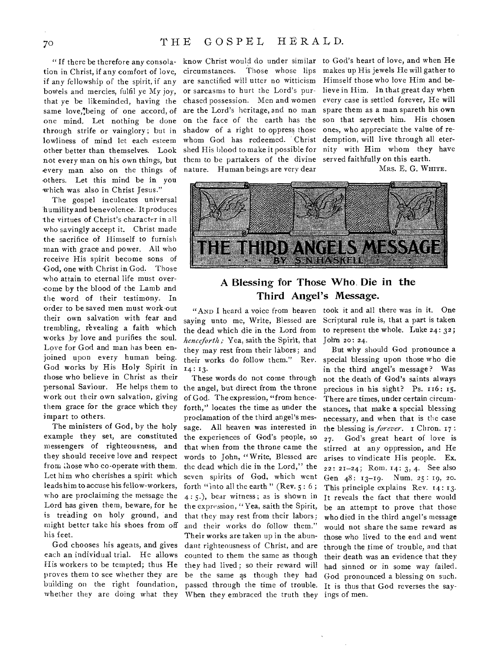# 70 THE GOSPEL HERALD.

tion in Christ, if any comfort of love, if any fellowship of the spirit, if any bowels and mercies, fulfil ye My joy, that ye be likeminded, having the same love, being of one accord, of one mind. Let nothing be done through strife or vainglory; but in lowliness of mind let each esteem other better than themselves. Look not every man on his own things, but every man also on the things of -others. Let this mind be in you which was also in Christ Jesus."

The gospel inculcates universal humility and benevolence. It produces -the virtues of Christ's character in all who savingly accept it. Christ made the sacrifice of Himself to furnish man with grace and power. All who receive His spirit become sons of God, one with Christ in God. Those who attain to eternal life must overcome by the blood of the Lamb and the word of their testimony. In order to be saved men must work-out their own salvation with fear and trembling, revealing a faith which works by love and purifies the soul. Love for God and man has been enjoined upon every human being. God works by His Holy Spirit in those who believe in Christ as their personal Saviour. He helps them to work out their own salvation, giving them grace for the grace which they impart to others.

The ministers of God, by the holy example they set, are constituted messengers of righteousness, and they should receive love and respect from those who co-operate with them. Let him who cherishes a spirit which leads him to accuse his fellow-workers, who are proclaiming the message the Lord has given them, beware, for he is treading on holy ground, and might better take his shoes from off his feet.

God chooses his agents, and gives each an individual trial. He allows whether they are doing what they When they embraced the truth they ings of men.

"If there be therefore any consola- know Christ would do under similar to God's heart of love, and when He circumstances. Those whose lips makes up His jewels He will gather to are sanctified will utter no witticism or sarcasms to hurt the Lord's purchased possession. Men and women are the Lord's heritage, and no man on the face of the earth has the son that serveth him. His chosen shadow of a right to oppress those whom God has redeemed. Christ shed His blood to make it possible for them to be partakers of the divine served faithfully on this earth. nature. Human beings are very dear

Himself those who love Him and believe in Him. In that great day when every case is settled forever, He will spare them as a man spareth his own ones, who appreciate the value of redemption, will live through all eternity with Him whom they have

MRS. E. G. WHITE.



## A Blessing for Those Who. Die in the Third Angel's Message.

saying unto me, Write, Blessed are Scriptural rule is, that a part is taken the dead which die in the Lord from *henceforth;* Yea, saith the Spirit, that they may rest from their labors; and 14 : 13.

His workers to be tempted; thus He they had lived ; so their reward will proves them to see whether they are be the same as though they had building on the right foundation, passed through the time of trouble. These words do not come through the angel, but direct from the throne of God. The expression, "from henceforth," locates the time as under the proclamation of the third angel's message. All heaven was interested in the experiences of God's people, so that when from the throne came the words to John, "Write, Blessed are the dead which die in the Lord," the seven spirits of God, which went forth "into all the earth" (Rev.  $5:6$ ; 4 : 5.), bear witness; as is shown in the expression, "Yea, saith the Spirit, that they may rest from their labors; and their works do follow them." Their works are taken up in the abundant righteousness of Christ, and are counted to them the same as though

"AND I heard a voice from heaven took it and all there was in it. One to represent the whole. Luke 24: 32; John 2o: 24.

their works do follow them." Rev. special blessing upon those who die But why should God pronounce a in the third angel's message? Was not the death of God's saints always precious in his sight? Ps. 116: 15. There are times, under certain circumstances, that make a special blessing necessary, and when that is the case the blessing is *forever*. **1 Chron. 17:** 27. God's great heart of love is stirred at any oppression, and He arises to vindicate His people. Ex. 22: 21-24; Rom. 14: 3, 4. See also Gen 48: 13-19. Num. 25: 19, 20. This principle explains Rev. t4: 13. It reveals the fact that there would be an attempt to prove that those who died in the third angel's message would not share the same reward as those who lived to the end and went through the time of trouble, and that their death was an evidence that they had sinned or in some way failed. God pronounced a blessing on such. It is thus that God reverses the say-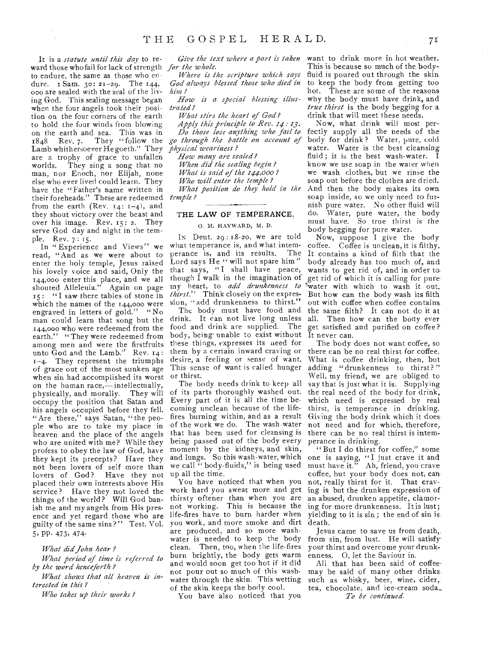It is a *statute until this day* to reward those who fail for lack of strength to endure, the same as those who endure. r Sam. 3o: 21-29. The 144, 000 are sealed with the seal of the living God. This sealing message began when the four angels took their position on the four corners of the earth to hold the four winds from blowing on the earth and sea. This was in<br>1848 Rev. 7. They "follow the 1848 Rev. 7. They "follow the *go through the battle on account of*  Lamb whithersoever Hegoeth." They *physical weariness?*  are a trophy of grace to unfallen worlds. They sing a *song* that no man, nor Enoch, nor Elijah, none else who ever lived could learn. They have the "Father's name written in their foreheads." These are redeemed *temple?*  from the earth (Rev.  $14: 1-4$ ), and they shout victory over the beast and over his image. Rev. 15: 2. They serve God day and night in the temple. Rev. 7: 15.

In "Experience and Views" we read, "And as we were about to enter the holy temple, Jesus raised his lovely voice and said, Only the 144,000 enter this place, and we all shouted Alleleuia." Again on page 15: "I saw there tables of stone in which the names of the 144,000 were engraved in letters of gold." "No man could learn that song but the 144,000 who were redeemed from the earth." "They were redeemed from among men and were the firstfruits unto  $\text{God}$  and the Lamb." Rev.  $14$ : 1-4. They represent the triumphs of grace out of the most sunken age when sin had accomplished its worst on the human race,—intellectually, physically, and morally. They will occupy the position that Satan and his angels occupied before they fell. "Are these," says Satan, "the people who are to take my place in heaven and the place of the angels who are united with me? While they profess to obey the law of God, have they kept its precepts? Have they not been lovers of self more than lovers of God? Have they not placed their own interests above His service? Have they not loved the things of the world? Will God banish me and my angels from His presence and yet regard those who are guilty of the same sins?" Test. Vol. 5, PP. 473, 474-

### *What did John hear ?*

*What period of time is referred to by the word henceforth?* 

*What shows that all heaven is interested in this?* 

*Who takes up their works?* 

*for the whole.* 

*Where is the scripture which says God always blessed those who died in him?* 

*How is a special blessing illustrated* 

*What stirs the heart of God ?* 

*Apply this principle to Rev. 14 13. Do those lose anything who fail to* 

*How many are sealed? When did the sealing begin.? What is said of the 144,00o ? Who will enter the temple ? What position do they hold in the* 

## THE LAW OF TEMPERANCE.

## O. M. HAYWARD, M. D.

IN Deut.  $29:18-20$ , we are told what temperance is, and what intem-<br>perance is, and its results. The perance is, and its results. Lord says He " will not spare him" that says, "I shall have peace, though I walk in the imagination of my heart, to *add drunkenness to thirst."* Think closely on the expression, "add drunkenness to thirst."

The body must have food and drink. It can not live long unless all. food and drink are supplied. The body, being unable to exist without these things, expresses its need for them by a certain inward craving or desire, a feeling or sense of want. This sense of want is called hunger or thirst.

The body needs drink to keep all of its parts thoroughly washed out. Every part of it is all the time becoming unclean because of the lifefires burning within, and as a result of the work we do. The wash-water that has been used for cleansing is being passed out of the body every moment by the kidneys, and skin, and lungs. So this wash-water, which we call " body-fluids," is being used up all the time.

You have noticed that when you work hard you sweat more and get thirsty oftener than when you are not working. This is because the life-fires have to burn harder when you work, and more smoke and dirt are produced, and so more washwater is needed to keep the body clean. Then, too, when the life-fires burn brightly, the body gets warm and would soon get too hot if it did not pour out so much of this washwater through the skin. This wetting of the skin, keeps the body cool.

You have also noticed that you

*Give the text where a part is taken*  want to drink more in hot weather. This is because so much of the bodyfluid is poured out through the skin to keep the body from getting too hot. These are some of the reasons why the body must have drink, and *true thirst* is the body begging for a drink that will meet these needs.

> Now, what drink will most perfectly supply all the needs of the body for drink ? Water, pure, cold water. Water is the best cleansing fluid ; it is the best wash-water. I know we use soap in the water when we wash clothes, but we rinse the soap out before the clothes are dried. And then the body makes its own soap inside, so we only need to furnish pure water. No other fluid will do. Water, pure water, the body must have. So true thirst is the body begging for pure water.

Now, suppose I give the body coffee. Coffee is unclean, it is filthy. It contains a kind of filth that the body already has too much of, and; wants to get rid of, and in order to. get rid of which it is calling for pure 'water with which to wash it out, But how can the body wash its filth out with coffee when coffee contains the same filth? It can not do it at Then how can the body ever get satisfied and purified on coffee?' It never can.

The body does not want coffee, so there can be no real thirst for coffee. What is coffee drinking, then, but adding "drunkenness to thirst?" Well, my friend, we are obliged to say that is just what it is. Supplying the real need of the body for drink, which need is expressed by real thirst, is temperance in drinking. Giving the body drink which it does not need and for which, therefore, there can be no real thirst is intemperance in drinking.

"But I do thirst for coffee," some one is saying, "I just crave it and must have it." Ah, friend, you crave coffee, but your body does not, can not, really thirst for it. That craving is but the drunken expression of an abused, drunken appetite, clamoring for more drunkenness. It is lust; yielding to it is sin; the end of sin isdeath.

Jesus came to save us from death, from sin, from lust. He will satisfyyour thirst and overcome your drunkenness. 0, let the Saviour in.

All that has been said of coffeemay be said of many other drinks such as whisky, beer, wine, cider, tea, chocolate, and ice-cream soda.\_ *To be continued.*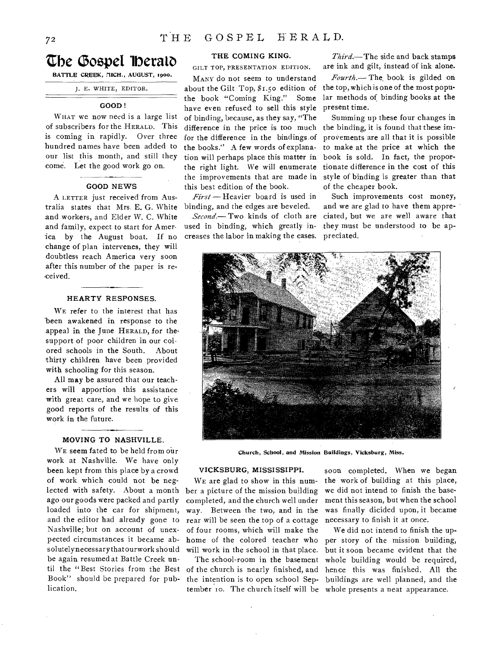## **The Gospel Iberald**

BATTLE CREEK, MICH., AUGUST, 1900.

J. E. WHITE, EDITOR.

## **GOOD!**

WHAT we now need is a large list of subscribers for the HERALD. This is coming in rapidly. Over three hundred names have been added to our list this month, and still they come. Let the good work go on.

### GOOD NEWS

A LETTER just received from Australia states that Mrs. E. G. White and workers, and Elder W. C. White and family, expect to start for America by the August boat. If no change of plan intervenes, they will doubtless reach America very soon after this number of the paper is received.

## HEARTY RESPONSES.

WE refer to the interest that has 'been awakened in response to the appeal in the June HERALD, for thesupport of poor children in our colored schools in the South. About thirty children have been provided with schooling for this season.

All may be assured that our teachers will apportion this assistance with great care, and we hope to give good reports of the results of this work in the future.

## MOVING TO NASHVILLE.

WE seem fated to be held from our work at Nashville. We have only been kept from this place by a crowd of work which could not be neglected with safety. About a month ago our goods were packed and partly loaded into the car for shipment, and the editor had already gone to Nashville; but on account of unexpected circumstances it became absolutelynecessary thatourwork should be again resumed at Battle Creek until the "Best Stories from the Best Book" should be prepared for publication.

## THE COMING KING.

GILT TOP, PRESENTATION EDITION.

MANY do not seem to understand about the Gilt Top, \$1.50 edition of the book "Coming King." Some have even refused to sell this style of binding, because, as they say, "The difference in the price is too much for the difference in the bindings.of the books." A few words of explanation will perhaps place this matter in the right light. We will enumerate the improvements that are made in this best edition of the book.

*First* —Heavier board is used in binding, and the edges are beveled.

*Second.—* Two kinds of cloth are used in binding, which greatly increases the labor in making the cases.

*Third.—The* side and back stamps are ink and gilt, instead of ink alone.

*Fourth.—* The, book is gilded on the top, which is one of the most popular methods of binding books at the present time.

Summing up these four changes in the binding, it is found that these improvements are all that it is possible to make at the price at which the book is sold. In fact, the proportionate difference in the cost of this style of binding is greater than that of the cheaper book.

Such improvements cost money, and we are glad to have them appreciated, but we are well aware that they must be understood to be appreciated.



Church, School, and Mission Buildings, Vicksburg, Miss.

### VICKSBURG, MISSISSIPPI.

WE are glad to show in this number a picture of the mission building completed, and the church well under way. Between the two, and in the rear will be seen the top of a cottage of four rooms, which will make the home of the colored teacher who will work in the school in that place.

The school-room in the basement of the church is nearly finished, and the intention is to open school Sep-

soon completed. When we began the work of building at this place, we did not intend to finish the basement this season, but when the school was finally dicided upon, it became necessary to finish it at once.

tember to. The church itself will be whole presents a neat appearance. We did not intend to finish the upper story of the mission building, but it soon became evident that the whole building would be required, hence this was finished. All the buildings are well planned, and the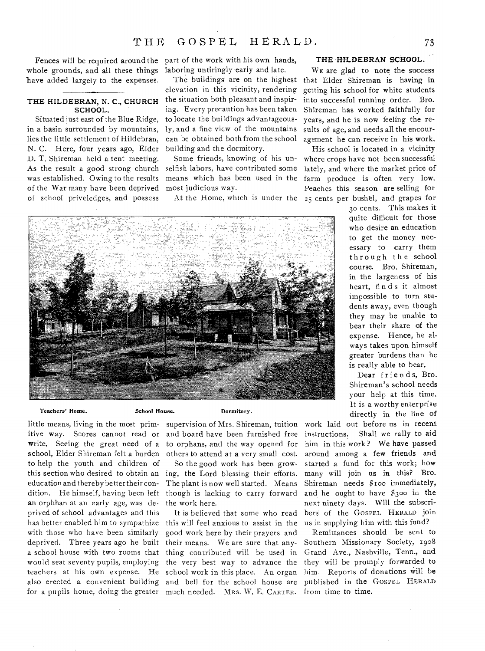whole grounds, and all these things have added largely to the expenses.

# SCHOOL.

Situated just east of the Blue Ridge, in a basin surrounded by mountains, lies the little settlement of Hildebran, N. C. Here, four years ago, Elder D. T. Shireman held a tent meeting. As the result a good strong church was established. Owing to the results of the War many have been deprived of school priveledges, and possess

Fences will be required around the part of the work with his own hands, laboring untiringly early and late.

THE HILDEBRAN, N. C., CHURCH the situation both pleasant and inspirelevation in this vicinity, rendering ing. Every precaution has been taken to locate the buildings advantageously, and a fine view of the mountains can be obtained both from the school building and the dormitory.

> Some friends, knowing of his unselfish labors, have contributed some means which has been used in the most judicious way.

At the Home, which is under the

### THE HILDEBRAN SCHOOL.

The buildings are on the highest that Elder Shireman is having in WE are glad to note the success getting his school for white students into successful running order. Bro. Shireman has worked faithfully for years, and he is now feeling the results of age, and needs all the encouragement he can receive in his work.

> His school is located in a vicinity where crops have not been successful lately, and where the market price of farm produce is often very low. Peaches this season are selling for 25 cents per bushel, and grapes for

Teachers' Home.

School House.

little means, living in the most prim-supervision of Mrs. Shireman, tuition school, Elder Shireman felt a burden others to attend at a very small cost. to help the youth and children of education and thereby better their conan orphhan at an early age, was deprived of school advantages and this with those who have been similarly good work here by their prayers and deprived. Three years ago he built their means. We are sure that anya school house with two rooms that thing contributed will be used in would seat seventy pupils, employing the very best way to advance the teachers at his own expense. He school work in this place. An organ also erected a convenient building and bell for the school house are

Dormitory.

itive way. Scores cannot read or and board have been furnished free write. Seeing the great need of a to orphans, and the way opened for

this section who desired to obtain an ing, the Lord blessing their efforts. dition. He himself, having been left though is lacking to carry forward So the good work has been grow-The plant is now well started. Means the work here.

has better enabled him to sympathize this will feel anxious to assist in the for a pupils home, doing the greater much needed. MRS. W. E. CARTER. It is believed that some who read

30 cents. This makes it quite difficult for those who desire an education to get the money necessary to carry them through the school course. Bro. Shireman, in the largeness of his heart, finds it almost impossible to turn students away, even though they may be unable to bear their share of the expense. Hence, he always takes upon himself greater burdens than he is really able to bear.

Dear friends, Bro. Shireman's school needs your help at this time. It is a worthy enterprise directly in the line of

work laid out before us in recent instructions. Shall we rally to aid him in this work? We have passed around among a few friends and started a fund for this work; how many will join us in this? Bro. Shireman needs \$100 immediately, and he ought to have \$3oo in the next ninety days. Will the subscribers of the GOSPEL HERALD join us in supplying him with this fund?

Remittances should be sent to Southern Missionary Society, 1908 Grand Ave., Nashville, Tenn., and they will be promply forwarded to him. Reports of donations will be published in the GOSPEL HERALD from time to time.

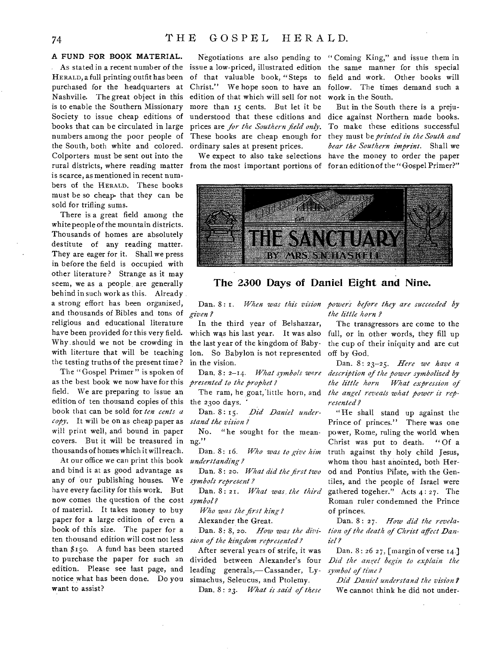## **A FUND FOR BOOK MATERIAL.**

purchased for the headquarters at Nashville. The great object in this is to enable the Southern Missionary Society to issue cheap editions of books that can be circulated in large the South, both white and colored. Colporters must be sent out into the rural districts, where reading matter from the most important portions of for an edition of the "Gospel Primer?" is scarce, as mentioned in recent numbers of the HERALD. These books must be so cheap- that they can be sold for trifling sums.

There is a great field among the white people of the mountain districts. Thousands of homes are absolutely destitute of any reading matter. They are eager for it. Shall we press in before the field is occupied with other literature? Strange as it may seem, we as a people, are generally behind in such work as this. Already. a strong effort has been organized, and thousands of Bibles and tons of religious and educational literature have been provided for this very field. Why should we not be crowding in with literture that will be teaching the testing truths of the present time ?

The "Gospel Primer" is spoken of as the best book we now have for this field. We are preparing to issue an edition of ten thousand copies of this the 2300 days. book that can be sold for *ten cents a copy.* It will be on as cheap paper as will print well, and bound in paper  $\frac{1}{2}$  covers. But it will be treasured in ng." thousands of homes which it will reach.

At our office we can print this book and bind it at as good advantage as any of our publishing houses. We *symbols represent ?*  have every facility for this work. But now comes the question of the cost *symbol?*  of material. It takes money to buy paper for a large edition of even a book of this size. The paper for a ten thousand edition will cost not less *sion of the kingdom represented?*  than  $$150$ . A fund has been started to purchase the paper for such an edition. Please see last page, and notice, what has been done. Do you want to assist?

As stated in a recent number of the issue a low-priced, illustrated edition the same manner for this special HERALD, a full printing outfit has been of that valuable book, "Steps to numbers among the poor people of These books are cheap enough for Negotiations are also pending to " Coming King," and issue them in Christ." We hope soon to have an edition of that which will sell for not more than 15 cents. But let it be understood that these editions and dice against Northern made books. prices are *for the Southern field only.*  ordinary sales at present prices.

We expect to also take selections

field and work. Other books will follow. The times demand such a work in the South.

But in the South there is a preju-To make these editions successful they must be *printed in the South and bear the Southern imprint.* Shall we have the money to order the paper



## **The 2340 Days of Daniel Eight and Nine.**

*given .?* 

In the third year of Belshazzar, which was his last year. It was also the last year of the kingdom of Babylon. So Babylon is not represented in the vision.

*presented to the prophet ?* 

The ram, he goat,'Iittle horn, and

Dan. 8: 15. *Did Daniel understand the vision?* 

No. "he sought for the mean-

Dan. 8: 16. *Who was to give him understanding?* 

Dan. 8 : 20. *What did the first two* 

Dan. 8 : 21. *What was the third* 

*Who was the first king?* 

Alexander the Great.

Dan. 8: 8, 2o. *How was the divi-*

After several years of strife, it was divided between Alexander's four leading generals,— Cassander, Lysimachus, Seleucus, and Ptolemy.

Dan. 8: 23. What is said of these

Dan. 8: I. *When was this vision powers before they are succeeded by the little horn ?* 

> The transgressors are come to the full, or in other words, they fill up the cup of their iniquity and are cut off by God.

Dan. 8: 2-14. *What symbols were description of the power symbolized by*  Dan. 8: 23-25. *Here we have a the little horn What expression of the angel reveals what power is represented ?* 

> " He shall stand up against the Prince of princes." There was one power, Rome, ruling the world when Christ was put to death. "Of a truth against thy holy child Jesus, whom thou hast anointed, both Herod and Pontius Pilate, with the Gentiles, and the people of Israel were gathered togeher." Acts 4: 27. The Roman ruler condemned the Prince of princes.

> Dan. 8: 27. *How did the revelation of the death of Christ affect Daniel?*

> Dan. 8: 26 27, [margin of verse 14.] *Did the angel begin to explain the symbol of time?*

*Did Daniel understand the vision?*  We cannot think he did not under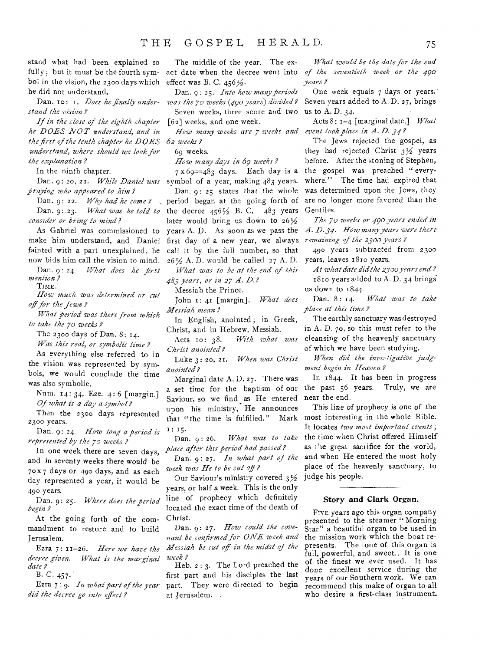stand what had been explained so fully; but it must be the fourth symbol in the vision, the 2300 days which he did not understand.

Dan. to: 1. *Does he finally understand the vision ?* 

*If in the close of the eighth chapter he DOES NOT understand, and in the first of the tenth chapter he DOES 62 weeks? understand, where should we look for the explanation?* 

In the ninth chapter.

*praying who appeared to him* 

Dan. 9: 22. *Why had he come ?*  Dan. 9:.23. *What was he told to consider or bring to mind?* 

As Gabriel was commissioned to make him understand, and Daniel fainted with a part unexplained, he now bids him call the vision to mind.

Dan. 9:24. *What does he first mention?*  TIME.

*How much was determined or cut*  off for the Jews?

*What period was there from which to take the 70 weeks?* 

The 2300 days of Dan. 8: 14.

*Was this real, or symbolic time ?* 

As everything else referred to in the vision was represented by symbols, we would conclude the time was also symbolic.

Num. 14: 34, Eze. 4: 6 [margin.] *Of what is a day a symbol?* 

Then the 2300 days represented 2300 years.

Dan. 9: 24. *How long a period is represented by the 7o weeks?* 

In one week there are seven days, and in seventy weeks there would be  $70x7$  days or 490 days, and as each day represented a year, it would be 490 years.

Dan. 9: 25. *Where does the period begin?* 

At the going forth of the commandment to restore and to build Jerusalem.

Ezra 7: 11-26. *Here we have the decree given. What is the marginal date?* 

B. C. 457.

Ezra 7 : 9. *In what part of the year did the decree go into eject ?* 

The middle of the year. The exact date when the decree went into *of the seventieth week or the 490*  effect was B. C.  $456\frac{1}{2}$ .

Dan. 9 : 25. *Into how many periods was the 7o weeks (490 years) divided?*  Seven weeks, three score and two

[62] weeks, and one week.

69 weeks.

*How many days in 69 weeks?* 

Dan. 9: 20, 21. While Daniel was symbol of a year, making 483 years.  $7 \times 69 = 483$  days. Each day is a

Dan. 9: 25 states that the whole period began at the going forth of the decree  $456\frac{1}{2}$  B. C.  $483$  years later would bring us down to  $26\frac{1}{2}$ years A. D. As soon as we pass the first day of a new year, we always call it by the full number, so that  $26\frac{1}{2}$  A. D. would be called 27 A. D.

*What was to be at the end of this 483 years, or in 27 A. D.?* 

Messiah the Prince.

John I: 41 [margin]. *What does Messiah mean?* 

In English, anointed ; in Greek, Christ, and in Hebrew, Messiah.

Acts to: 38. *With what was Christ anointed?* 

Luke 3: 20, 21. *When was Christ anointed?* 

Marginal date A. D. 27. There was a set time for the baptism of our Saviour, so we find as He entered upon his ministry, He announces<br>that "the time is fulfilled." Mark that "the time is fulfilled." I: 15.

Dan. 9: 26. *What was to take place after this period had passed?* 

Dan. 9: 27. *In what part of the week was He to be cut of ?* 

Our Saviour's ministry covered 3% years, or half a week. This is the only line of prophecy which definitely located the exact time of the death of Christ.

Dan. 9: 27. *How could the covenant be confirmed for ONE week and Messiah be cut of in the midst of the week?* 

Heb. 2 : 3. The Lord preached the first part and his disciples the last part. They were directed to begin at Jerusalem.

*What would be the date for the end years?* 

One week equals *7* days or years. Seven years added to A. D. 27, brings us to A. D. 34.

*How many weeks are 7 weeks and event took place in A. D. 34?*  Acts 8 : 1-4 [marginal date.] *What* 

> The Jews rejected the gospel, as they had rejected Christ  $3\frac{1}{2}$  years before. After the stoning of Stephen, the gospel was preached " everywhere." The time had expired that was determined upon the Jews, they are no longer more favored than the Gentiles.

> *The 7o weeks or 490 years ended in A. D.34. flow many years were there remaining of the 2300 years?*

> 490 years subtracted from 2300 years, leaves 18to years.

> *At what date din' the 2300 years end ?*  1810 years a lded to A. D. 34 brings us down to  $1844$ .<br>Dan.  $8:14$ .

> What was to take *place at this time?*

> The earthly sanctuary was destroyed in A. D. 7o, so this must refer to the cleansing of the heavenly sanctuary of which we have been studying.

> *When did the investigative judgment begin in Heaven?*

> In 1844. It has been in progress the past 56 years. Truly, we are near the end.

> This line of prophecy is one of the most interesting in the whole Bible. It locates *two most important events;*  the time when Christ offered Himself as the great sacrifice for the world, and when He entered the mast holy place of the heavenly sanctuary, to judge his people.

## Story and Clark Organ.

FIVE years ago this organ company presented to the steamer "Morning Star" a beautiful organ to be used in the mission work which the boat represents. The tone of this organ is full, powerful, and sweet., It is one of the finest we ever used. It has done excellent service during the years of our Southern work. We can recommend this make of organ to all who desire a first-class instrument.